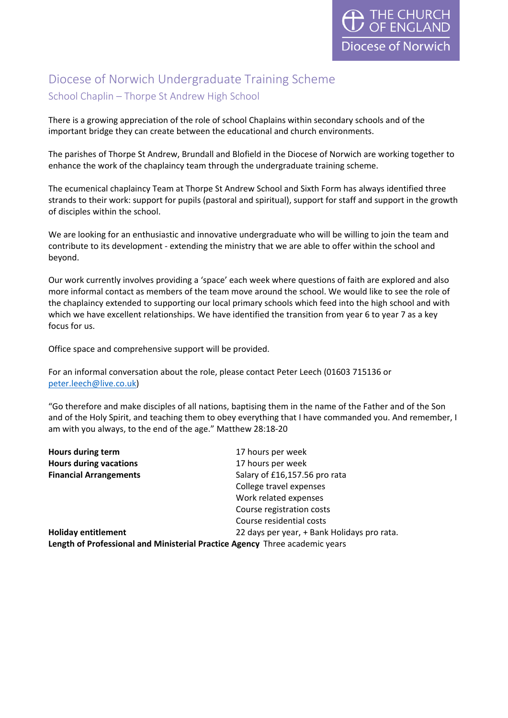# Diocese of Norwich Undergraduate Training Scheme School Chaplin – Thorpe St Andrew High School

There is a growing appreciation of the role of school Chaplains within secondary schools and of the important bridge they can create between the educational and church environments.

The parishes of Thorpe St Andrew, Brundall and Blofield in the Diocese of Norwich are working together to enhance the work of the chaplaincy team through the undergraduate training scheme.

The ecumenical chaplaincy Team at Thorpe St Andrew School and Sixth Form has always identified three strands to their work: support for pupils (pastoral and spiritual), support for staff and support in the growth of disciples within the school.

We are looking for an enthusiastic and innovative undergraduate who will be willing to join the team and contribute to its development - extending the ministry that we are able to offer within the school and beyond.

Our work currently involves providing a 'space' each week where questions of faith are explored and also more informal contact as members of the team move around the school. We would like to see the role of the chaplaincy extended to supporting our local primary schools which feed into the high school and with which we have excellent relationships. We have identified the transition from year 6 to year 7 as a key focus for us.

Office space and comprehensive support will be provided.

For an informal conversation about the role, please contact Peter Leech (01603 715136 or [peter.leech@live.co.uk\)](mailto:peter.leech@live.co.uk)

"Go therefore and make disciples of all nations, baptising them in the name of the Father and of the Son and of the Holy Spirit, and teaching them to obey everything that I have commanded you. And remember, I am with you always, to the end of the age." Matthew 28:18-20

| Hours during term                                                           | 17 hours per week                           |
|-----------------------------------------------------------------------------|---------------------------------------------|
| <b>Hours during vacations</b>                                               | 17 hours per week                           |
| <b>Financial Arrangements</b>                                               | Salary of £16,157.56 pro rata               |
|                                                                             | College travel expenses                     |
|                                                                             | Work related expenses                       |
|                                                                             | Course registration costs                   |
|                                                                             | Course residential costs                    |
| <b>Holiday entitlement</b>                                                  | 22 days per year, + Bank Holidays pro rata. |
| Length of Professional and Ministerial Practice Agency Three academic years |                                             |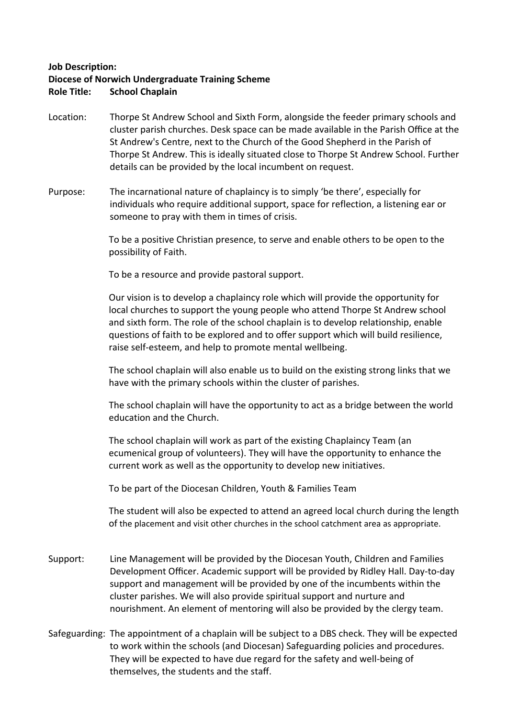#### **Job Description:**

## **Diocese of Norwich Undergraduate Training Scheme**

#### **Role Title: School Chaplain**

- Location: Thorpe St Andrew School and Sixth Form, alongside the feeder primary schools and cluster parish churches. Desk space can be made available in the Parish Office at the St Andrew's Centre, next to the Church of the Good Shepherd in the Parish of Thorpe St Andrew. This is ideally situated close to Thorpe St Andrew School. Further details can be provided by the local incumbent on request.
- Purpose: The incarnational nature of chaplaincy is to simply 'be there', especially for individuals who require additional support, space for reflection, a listening ear or someone to pray with them in times of crisis.

To be a positive Christian presence, to serve and enable others to be open to the possibility of Faith.

To be a resource and provide pastoral support.

Our vision is to develop a chaplaincy role which will provide the opportunity for local churches to support the young people who attend Thorpe St Andrew school and sixth form. The role of the school chaplain is to develop relationship, enable questions of faith to be explored and to offer support which will build resilience, raise self-esteem, and help to promote mental wellbeing.

The school chaplain will also enable us to build on the existing strong links that we have with the primary schools within the cluster of parishes.

The school chaplain will have the opportunity to act as a bridge between the world education and the Church.

The school chaplain will work as part of the existing Chaplaincy Team (an ecumenical group of volunteers). They will have the opportunity to enhance the current work as well as the opportunity to develop new initiatives.

To be part of the Diocesan Children, Youth & Families Team

The student will also be expected to attend an agreed local church during the length of the placement and visit other churches in the school catchment area as appropriate.

- Support: Line Management will be provided by the Diocesan Youth, Children and Families Development Officer. Academic support will be provided by Ridley Hall. Day-to-day support and management will be provided by one of the incumbents within the cluster parishes. We will also provide spiritual support and nurture and nourishment. An element of mentoring will also be provided by the clergy team.
- Safeguarding: The appointment of a chaplain will be subject to a DBS check. They will be expected to work within the schools (and Diocesan) Safeguarding policies and procedures. They will be expected to have due regard for the safety and well-being of themselves, the students and the staff.